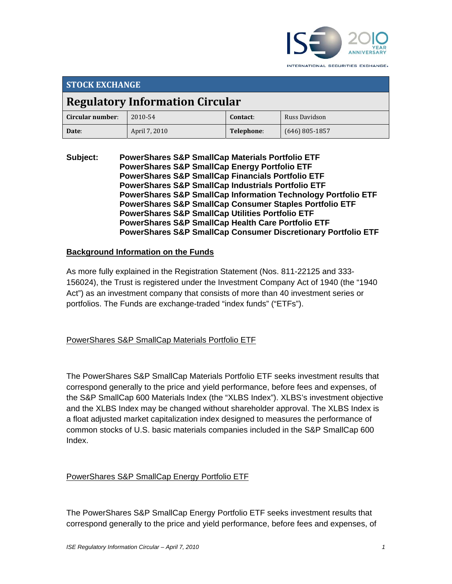

INTERNATIONAL SECURITIES EXCHANGE.

| <b>STOCK EXCHANGE</b>                  |               |            |                  |  |
|----------------------------------------|---------------|------------|------------------|--|
| <b>Regulatory Information Circular</b> |               |            |                  |  |
| Circular number:                       | 2010-54       | Contact:   | Russ Davidson    |  |
| Date:                                  | April 7, 2010 | Telephone: | $(646)$ 805-1857 |  |

**Subject: PowerShares S&P SmallCap Materials Portfolio ETF PowerShares S&P SmallCap Energy Portfolio ETF PowerShares S&P SmallCap Financials Portfolio ETF PowerShares S&P SmallCap Industrials Portfolio ETF PowerShares S&P SmallCap Information Technology Portfolio ETF PowerShares S&P SmallCap Consumer Staples Portfolio ETF PowerShares S&P SmallCap Utilities Portfolio ETF PowerShares S&P SmallCap Health Care Portfolio ETF PowerShares S&P SmallCap Consumer Discretionary Portfolio ETF** 

## **Background Information on the Funds**

As more fully explained in the Registration Statement (Nos. 811-22125 and 333- 156024), the Trust is registered under the Investment Company Act of 1940 (the "1940 Act") as an investment company that consists of more than 40 investment series or portfolios. The Funds are exchange-traded "index funds" ("ETFs").

## PowerShares S&P SmallCap Materials Portfolio ETF

The PowerShares S&P SmallCap Materials Portfolio ETF seeks investment results that correspond generally to the price and yield performance, before fees and expenses, of the S&P SmallCap 600 Materials Index (the "XLBS Index"). XLBS's investment objective and the XLBS Index may be changed without shareholder approval. The XLBS Index is a float adjusted market capitalization index designed to measures the performance of common stocks of U.S. basic materials companies included in the S&P SmallCap 600 Index.

## PowerShares S&P SmallCap Energy Portfolio ETF

The PowerShares S&P SmallCap Energy Portfolio ETF seeks investment results that correspond generally to the price and yield performance, before fees and expenses, of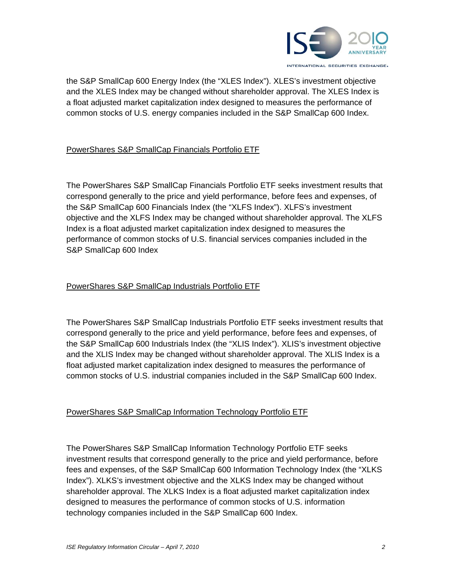

the S&P SmallCap 600 Energy Index (the "XLES Index"). XLES's investment objective and the XLES Index may be changed without shareholder approval. The XLES Index is a float adjusted market capitalization index designed to measures the performance of common stocks of U.S. energy companies included in the S&P SmallCap 600 Index.

### PowerShares S&P SmallCap Financials Portfolio ETF

The PowerShares S&P SmallCap Financials Portfolio ETF seeks investment results that correspond generally to the price and yield performance, before fees and expenses, of the S&P SmallCap 600 Financials Index (the "XLFS Index"). XLFS's investment objective and the XLFS Index may be changed without shareholder approval. The XLFS Index is a float adjusted market capitalization index designed to measures the performance of common stocks of U.S. financial services companies included in the S&P SmallCap 600 Index

### PowerShares S&P SmallCap Industrials Portfolio ETF

The PowerShares S&P SmallCap Industrials Portfolio ETF seeks investment results that correspond generally to the price and yield performance, before fees and expenses, of the S&P SmallCap 600 Industrials Index (the "XLIS Index"). XLIS's investment objective and the XLIS Index may be changed without shareholder approval. The XLIS Index is a float adjusted market capitalization index designed to measures the performance of common stocks of U.S. industrial companies included in the S&P SmallCap 600 Index.

### PowerShares S&P SmallCap Information Technology Portfolio ETF

The PowerShares S&P SmallCap Information Technology Portfolio ETF seeks investment results that correspond generally to the price and yield performance, before fees and expenses, of the S&P SmallCap 600 Information Technology Index (the "XLKS Index"). XLKS's investment objective and the XLKS Index may be changed without shareholder approval. The XLKS Index is a float adjusted market capitalization index designed to measures the performance of common stocks of U.S. information technology companies included in the S&P SmallCap 600 Index.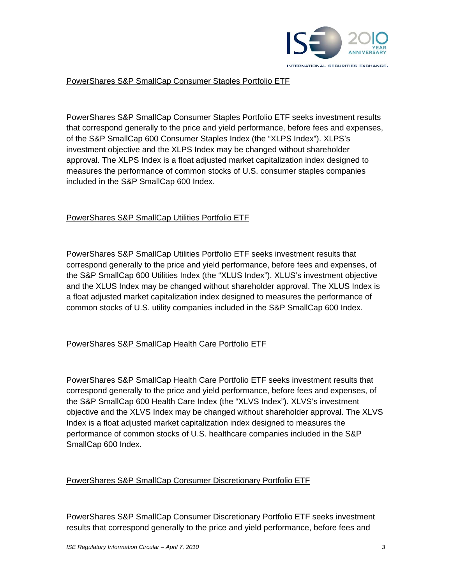

#### PowerShares S&P SmallCap Consumer Staples Portfolio ETF

PowerShares S&P SmallCap Consumer Staples Portfolio ETF seeks investment results that correspond generally to the price and yield performance, before fees and expenses, of the S&P SmallCap 600 Consumer Staples Index (the "XLPS Index"). XLPS's investment objective and the XLPS Index may be changed without shareholder approval. The XLPS Index is a float adjusted market capitalization index designed to measures the performance of common stocks of U.S. consumer staples companies included in the S&P SmallCap 600 Index.

#### PowerShares S&P SmallCap Utilities Portfolio ETF

PowerShares S&P SmallCap Utilities Portfolio ETF seeks investment results that correspond generally to the price and yield performance, before fees and expenses, of the S&P SmallCap 600 Utilities Index (the "XLUS Index"). XLUS's investment objective and the XLUS Index may be changed without shareholder approval. The XLUS Index is a float adjusted market capitalization index designed to measures the performance of common stocks of U.S. utility companies included in the S&P SmallCap 600 Index.

#### PowerShares S&P SmallCap Health Care Portfolio ETF

PowerShares S&P SmallCap Health Care Portfolio ETF seeks investment results that correspond generally to the price and yield performance, before fees and expenses, of the S&P SmallCap 600 Health Care Index (the "XLVS Index"). XLVS's investment objective and the XLVS Index may be changed without shareholder approval. The XLVS Index is a float adjusted market capitalization index designed to measures the performance of common stocks of U.S. healthcare companies included in the S&P SmallCap 600 Index.

#### PowerShares S&P SmallCap Consumer Discretionary Portfolio ETF

PowerShares S&P SmallCap Consumer Discretionary Portfolio ETF seeks investment results that correspond generally to the price and yield performance, before fees and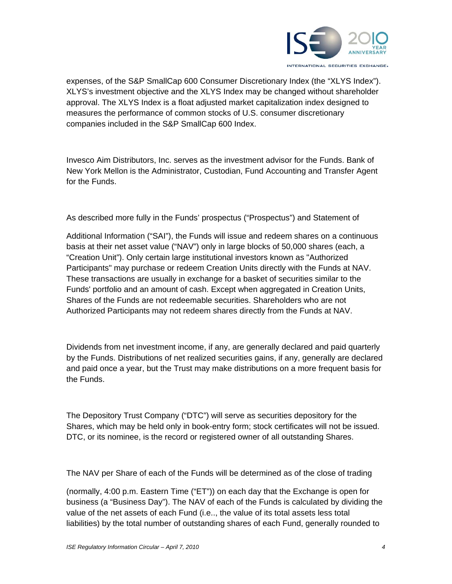

expenses, of the S&P SmallCap 600 Consumer Discretionary Index (the "XLYS Index"). XLYS's investment objective and the XLYS Index may be changed without shareholder approval. The XLYS Index is a float adjusted market capitalization index designed to measures the performance of common stocks of U.S. consumer discretionary companies included in the S&P SmallCap 600 Index.

Invesco Aim Distributors, Inc. serves as the investment advisor for the Funds. Bank of New York Mellon is the Administrator, Custodian, Fund Accounting and Transfer Agent for the Funds.

As described more fully in the Funds' prospectus ("Prospectus") and Statement of

Additional Information ("SAI"), the Funds will issue and redeem shares on a continuous basis at their net asset value ("NAV") only in large blocks of 50,000 shares (each, a "Creation Unit"). Only certain large institutional investors known as "Authorized Participants" may purchase or redeem Creation Units directly with the Funds at NAV. These transactions are usually in exchange for a basket of securities similar to the Funds' portfolio and an amount of cash. Except when aggregated in Creation Units, Shares of the Funds are not redeemable securities. Shareholders who are not Authorized Participants may not redeem shares directly from the Funds at NAV.

Dividends from net investment income, if any, are generally declared and paid quarterly by the Funds. Distributions of net realized securities gains, if any, generally are declared and paid once a year, but the Trust may make distributions on a more frequent basis for the Funds.

The Depository Trust Company ("DTC") will serve as securities depository for the Shares, which may be held only in book-entry form; stock certificates will not be issued. DTC, or its nominee, is the record or registered owner of all outstanding Shares.

The NAV per Share of each of the Funds will be determined as of the close of trading

(normally, 4:00 p.m. Eastern Time ("ET")) on each day that the Exchange is open for business (a "Business Day"). The NAV of each of the Funds is calculated by dividing the value of the net assets of each Fund (i.e.., the value of its total assets less total liabilities) by the total number of outstanding shares of each Fund, generally rounded to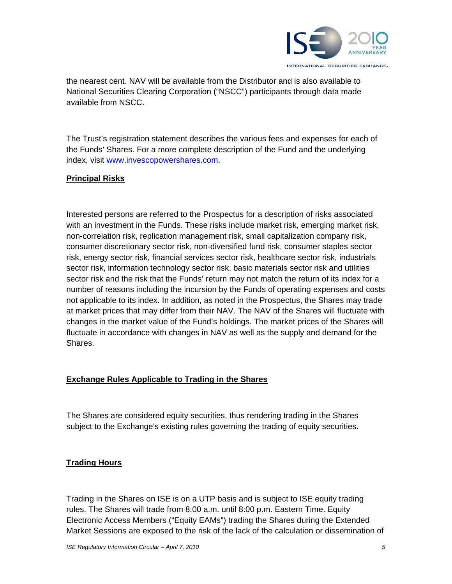

the nearest cent. NAV will be available from the Distributor and is also available to National Securities Clearing Corporation ("NSCC") participants through data made available from NSCC.

The Trust's registration statement describes the various fees and expenses for each of the Funds' Shares. For a more complete description of the Fund and the underlying index, visit www.invescopowershares.com.

### **Principal Risks**

Interested persons are referred to the Prospectus for a description of risks associated with an investment in the Funds. These risks include market risk, emerging market risk, non-correlation risk, replication management risk, small capitalization company risk, consumer discretionary sector risk, non-diversified fund risk, consumer staples sector risk, energy sector risk, financial services sector risk, healthcare sector risk, industrials sector risk, information technology sector risk, basic materials sector risk and utilities sector risk and the risk that the Funds' return may not match the return of its index for a number of reasons including the incursion by the Funds of operating expenses and costs not applicable to its index. In addition, as noted in the Prospectus, the Shares may trade at market prices that may differ from their NAV. The NAV of the Shares will fluctuate with changes in the market value of the Fund's holdings. The market prices of the Shares will fluctuate in accordance with changes in NAV as well as the supply and demand for the Shares.

### **Exchange Rules Applicable to Trading in the Shares**

The Shares are considered equity securities, thus rendering trading in the Shares subject to the Exchange's existing rules governing the trading of equity securities.

### **Trading Hours**

Trading in the Shares on ISE is on a UTP basis and is subject to ISE equity trading rules. The Shares will trade from 8:00 a.m. until 8:00 p.m. Eastern Time. Equity Electronic Access Members ("Equity EAMs") trading the Shares during the Extended Market Sessions are exposed to the risk of the lack of the calculation or dissemination of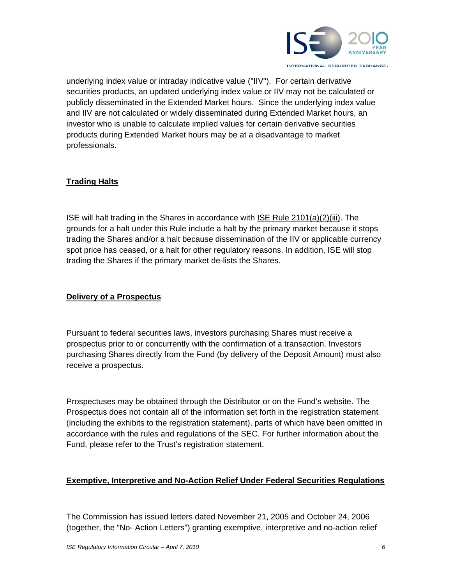

underlying index value or intraday indicative value ("IIV"). For certain derivative securities products, an updated underlying index value or IIV may not be calculated or publicly disseminated in the Extended Market hours. Since the underlying index value and IIV are not calculated or widely disseminated during Extended Market hours, an investor who is unable to calculate implied values for certain derivative securities products during Extended Market hours may be at a disadvantage to market professionals.

## **Trading Halts**

ISE will halt trading in the Shares in accordance with ISE Rule 2101(a)(2)(iii). The grounds for a halt under this Rule include a halt by the primary market because it stops trading the Shares and/or a halt because dissemination of the IIV or applicable currency spot price has ceased, or a halt for other regulatory reasons. In addition, ISE will stop trading the Shares if the primary market de-lists the Shares.

### **Delivery of a Prospectus**

Pursuant to federal securities laws, investors purchasing Shares must receive a prospectus prior to or concurrently with the confirmation of a transaction. Investors purchasing Shares directly from the Fund (by delivery of the Deposit Amount) must also receive a prospectus.

Prospectuses may be obtained through the Distributor or on the Fund's website. The Prospectus does not contain all of the information set forth in the registration statement (including the exhibits to the registration statement), parts of which have been omitted in accordance with the rules and regulations of the SEC. For further information about the Fund, please refer to the Trust's registration statement.

## **Exemptive, Interpretive and No-Action Relief Under Federal Securities Regulations**

The Commission has issued letters dated November 21, 2005 and October 24, 2006 (together, the "No- Action Letters") granting exemptive, interpretive and no-action relief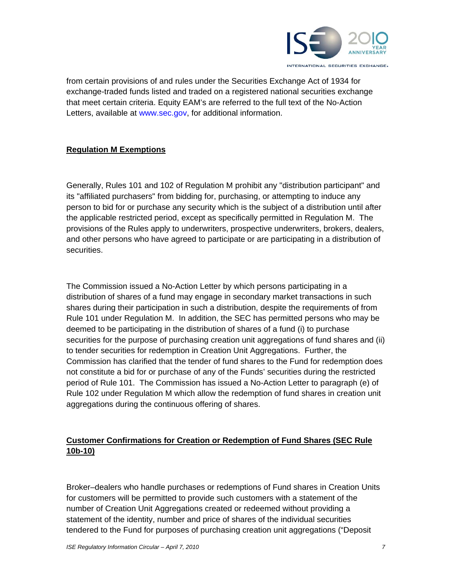

from certain provisions of and rules under the Securities Exchange Act of 1934 for exchange-traded funds listed and traded on a registered national securities exchange that meet certain criteria. Equity EAM's are referred to the full text of the No-Action Letters, available at www.sec.gov, for additional information.

## **Regulation M Exemptions**

Generally, Rules 101 and 102 of Regulation M prohibit any "distribution participant" and its "affiliated purchasers" from bidding for, purchasing, or attempting to induce any person to bid for or purchase any security which is the subject of a distribution until after the applicable restricted period, except as specifically permitted in Regulation M. The provisions of the Rules apply to underwriters, prospective underwriters, brokers, dealers, and other persons who have agreed to participate or are participating in a distribution of securities.

The Commission issued a No-Action Letter by which persons participating in a distribution of shares of a fund may engage in secondary market transactions in such shares during their participation in such a distribution, despite the requirements of from Rule 101 under Regulation M. In addition, the SEC has permitted persons who may be deemed to be participating in the distribution of shares of a fund (i) to purchase securities for the purpose of purchasing creation unit aggregations of fund shares and (ii) to tender securities for redemption in Creation Unit Aggregations. Further, the Commission has clarified that the tender of fund shares to the Fund for redemption does not constitute a bid for or purchase of any of the Funds' securities during the restricted period of Rule 101. The Commission has issued a No-Action Letter to paragraph (e) of Rule 102 under Regulation M which allow the redemption of fund shares in creation unit aggregations during the continuous offering of shares.

# **Customer Confirmations for Creation or Redemption of Fund Shares (SEC Rule 10b-10)**

Broker–dealers who handle purchases or redemptions of Fund shares in Creation Units for customers will be permitted to provide such customers with a statement of the number of Creation Unit Aggregations created or redeemed without providing a statement of the identity, number and price of shares of the individual securities tendered to the Fund for purposes of purchasing creation unit aggregations ("Deposit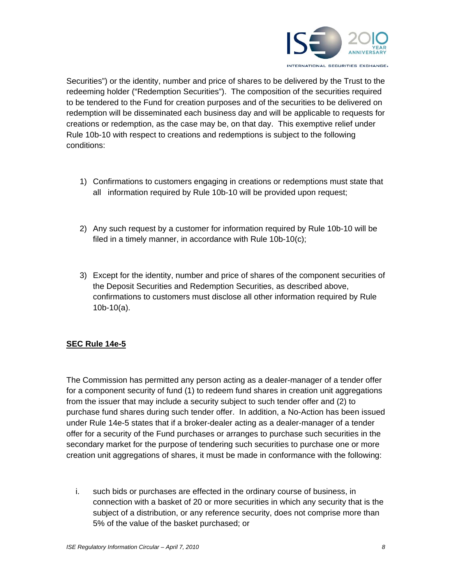

Securities") or the identity, number and price of shares to be delivered by the Trust to the redeeming holder ("Redemption Securities"). The composition of the securities required to be tendered to the Fund for creation purposes and of the securities to be delivered on redemption will be disseminated each business day and will be applicable to requests for creations or redemption, as the case may be, on that day. This exemptive relief under Rule 10b-10 with respect to creations and redemptions is subject to the following conditions:

- 1) Confirmations to customers engaging in creations or redemptions must state that all information required by Rule 10b-10 will be provided upon request;
- 2) Any such request by a customer for information required by Rule 10b-10 will be filed in a timely manner, in accordance with Rule 10b-10(c);
- 3) Except for the identity, number and price of shares of the component securities of the Deposit Securities and Redemption Securities, as described above, confirmations to customers must disclose all other information required by Rule 10b-10(a).

## **SEC Rule 14e-5**

The Commission has permitted any person acting as a dealer-manager of a tender offer for a component security of fund (1) to redeem fund shares in creation unit aggregations from the issuer that may include a security subject to such tender offer and (2) to purchase fund shares during such tender offer. In addition, a No-Action has been issued under Rule 14e-5 states that if a broker-dealer acting as a dealer-manager of a tender offer for a security of the Fund purchases or arranges to purchase such securities in the secondary market for the purpose of tendering such securities to purchase one or more creation unit aggregations of shares, it must be made in conformance with the following:

i. such bids or purchases are effected in the ordinary course of business, in connection with a basket of 20 or more securities in which any security that is the subject of a distribution, or any reference security, does not comprise more than 5% of the value of the basket purchased; or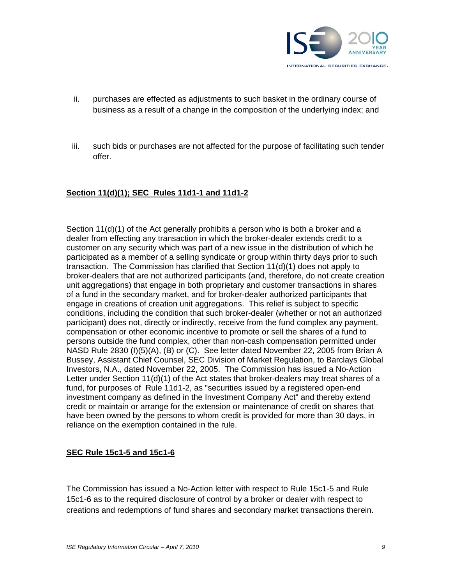

- ii. purchases are effected as adjustments to such basket in the ordinary course of business as a result of a change in the composition of the underlying index; and
- iii. such bids or purchases are not affected for the purpose of facilitating such tender offer.

### **Section 11(d)(1); SEC Rules 11d1-1 and 11d1-2**

Section 11(d)(1) of the Act generally prohibits a person who is both a broker and a dealer from effecting any transaction in which the broker-dealer extends credit to a customer on any security which was part of a new issue in the distribution of which he participated as a member of a selling syndicate or group within thirty days prior to such transaction. The Commission has clarified that Section 11(d)(1) does not apply to broker-dealers that are not authorized participants (and, therefore, do not create creation unit aggregations) that engage in both proprietary and customer transactions in shares of a fund in the secondary market, and for broker-dealer authorized participants that engage in creations of creation unit aggregations. This relief is subject to specific conditions, including the condition that such broker-dealer (whether or not an authorized participant) does not, directly or indirectly, receive from the fund complex any payment, compensation or other economic incentive to promote or sell the shares of a fund to persons outside the fund complex, other than non-cash compensation permitted under NASD Rule 2830 (I)(5)(A), (B) or (C). See letter dated November 22, 2005 from Brian A Bussey, Assistant Chief Counsel, SEC Division of Market Regulation, to Barclays Global Investors, N.A., dated November 22, 2005. The Commission has issued a No-Action Letter under Section 11(d)(1) of the Act states that broker-dealers may treat shares of a fund, for purposes of Rule 11d1-2, as "securities issued by a registered open-end investment company as defined in the Investment Company Act" and thereby extend credit or maintain or arrange for the extension or maintenance of credit on shares that have been owned by the persons to whom credit is provided for more than 30 days, in reliance on the exemption contained in the rule.

### **SEC Rule 15c1-5 and 15c1-6**

The Commission has issued a No-Action letter with respect to Rule 15c1-5 and Rule 15c1-6 as to the required disclosure of control by a broker or dealer with respect to creations and redemptions of fund shares and secondary market transactions therein.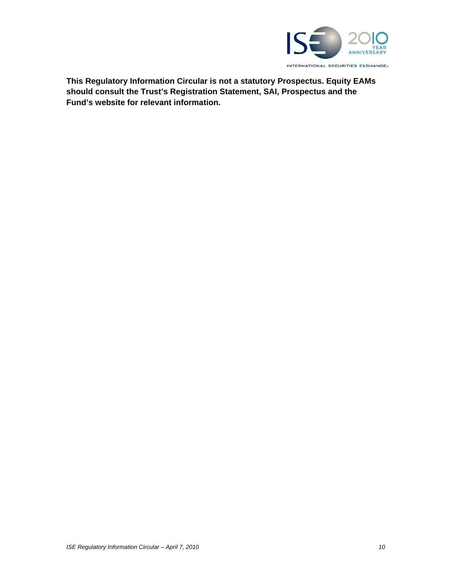

**This Regulatory Information Circular is not a statutory Prospectus. Equity EAMs should consult the Trust's Registration Statement, SAI, Prospectus and the Fund's website for relevant information.**